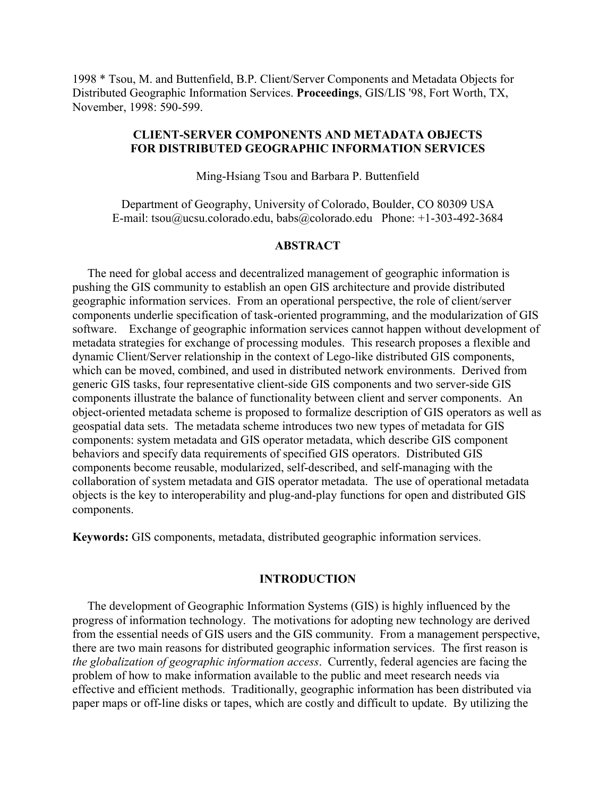1998 \* Tsou, M. and Buttenfield, B.P. Client/Server Components and Metadata Objects for Distributed Geographic Information Services. **Proceedings**, GIS/LIS '98, Fort Worth, TX, November, 1998: 590-599.

# **CLIENT-SERVER COMPONENTS AND METADATA OBJECTS FOR DISTRIBUTED GEOGRAPHIC INFORMATION SERVICES**

Ming-Hsiang Tsou and Barbara P. Buttenfield

Department of Geography, University of Colorado, Boulder, CO 80309 USA E-mail: tsou@ucsu.colorado.edu, babs@colorado.edu Phone: +1-303-492-3684

### **ABSTRACT**

 The need for global access and decentralized management of geographic information is pushing the GIS community to establish an open GIS architecture and provide distributed geographic information services. From an operational perspective, the role of client/server components underlie specification of task-oriented programming, and the modularization of GIS software. Exchange of geographic information services cannot happen without development of metadata strategies for exchange of processing modules. This research proposes a flexible and dynamic Client/Server relationship in the context of Lego-like distributed GIS components, which can be moved, combined, and used in distributed network environments. Derived from generic GIS tasks, four representative client-side GIS components and two server-side GIS components illustrate the balance of functionality between client and server components. An object-oriented metadata scheme is proposed to formalize description of GIS operators as well as geospatial data sets. The metadata scheme introduces two new types of metadata for GIS components: system metadata and GIS operator metadata, which describe GIS component behaviors and specify data requirements of specified GIS operators. Distributed GIS components become reusable, modularized, self-described, and self-managing with the collaboration of system metadata and GIS operator metadata. The use of operational metadata objects is the key to interoperability and plug-and-play functions for open and distributed GIS components.

**Keywords:** GIS components, metadata, distributed geographic information services.

#### **INTRODUCTION**

 The development of Geographic Information Systems (GIS) is highly influenced by the progress of information technology. The motivations for adopting new technology are derived from the essential needs of GIS users and the GIS community. From a management perspective, there are two main reasons for distributed geographic information services. The first reason is *the globalization of geographic information access*. Currently, federal agencies are facing the problem of how to make information available to the public and meet research needs via effective and efficient methods. Traditionally, geographic information has been distributed via paper maps or off-line disks or tapes, which are costly and difficult to update. By utilizing the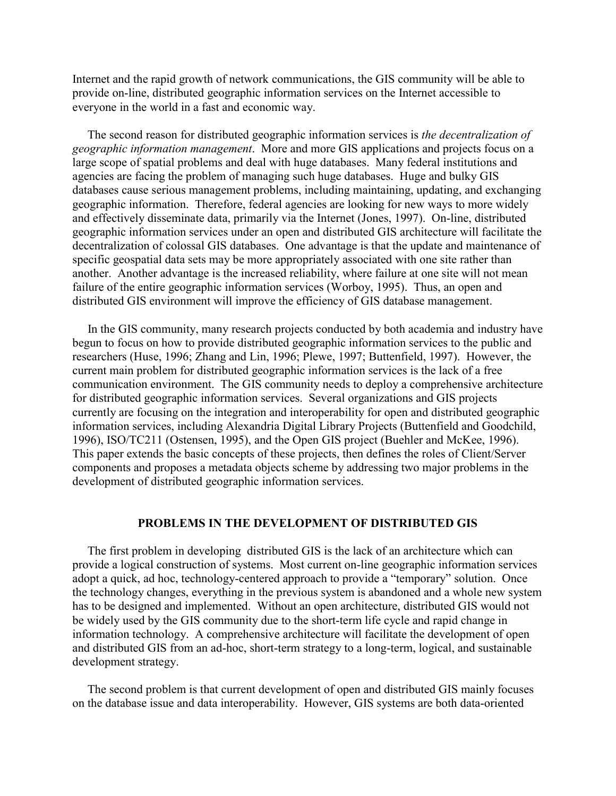Internet and the rapid growth of network communications, the GIS community will be able to provide on-line, distributed geographic information services on the Internet accessible to everyone in the world in a fast and economic way.

 The second reason for distributed geographic information services is *the decentralization of geographic information management*. More and more GIS applications and projects focus on a large scope of spatial problems and deal with huge databases. Many federal institutions and agencies are facing the problem of managing such huge databases. Huge and bulky GIS databases cause serious management problems, including maintaining, updating, and exchanging geographic information. Therefore, federal agencies are looking for new ways to more widely and effectively disseminate data, primarily via the Internet (Jones, 1997). On-line, distributed geographic information services under an open and distributed GIS architecture will facilitate the decentralization of colossal GIS databases. One advantage is that the update and maintenance of specific geospatial data sets may be more appropriately associated with one site rather than another. Another advantage is the increased reliability, where failure at one site will not mean failure of the entire geographic information services (Worboy, 1995). Thus, an open and distributed GIS environment will improve the efficiency of GIS database management.

 In the GIS community, many research projects conducted by both academia and industry have begun to focus on how to provide distributed geographic information services to the public and researchers (Huse, 1996; Zhang and Lin, 1996; Plewe, 1997; Buttenfield, 1997). However, the current main problem for distributed geographic information services is the lack of a free communication environment. The GIS community needs to deploy a comprehensive architecture for distributed geographic information services. Several organizations and GIS projects currently are focusing on the integration and interoperability for open and distributed geographic information services, including Alexandria Digital Library Projects (Buttenfield and Goodchild, 1996), ISO/TC211 (Ostensen, 1995), and the Open GIS project (Buehler and McKee, 1996). This paper extends the basic concepts of these projects, then defines the roles of Client/Server components and proposes a metadata objects scheme by addressing two major problems in the development of distributed geographic information services.

### **PROBLEMS IN THE DEVELOPMENT OF DISTRIBUTED GIS**

 The first problem in developing distributed GIS is the lack of an architecture which can provide a logical construction of systems. Most current on-line geographic information services adopt a quick, ad hoc, technology-centered approach to provide a "temporary" solution. Once the technology changes, everything in the previous system is abandoned and a whole new system has to be designed and implemented. Without an open architecture, distributed GIS would not be widely used by the GIS community due to the short-term life cycle and rapid change in information technology. A comprehensive architecture will facilitate the development of open and distributed GIS from an ad-hoc, short-term strategy to a long-term, logical, and sustainable development strategy.

 The second problem is that current development of open and distributed GIS mainly focuses on the database issue and data interoperability. However, GIS systems are both data-oriented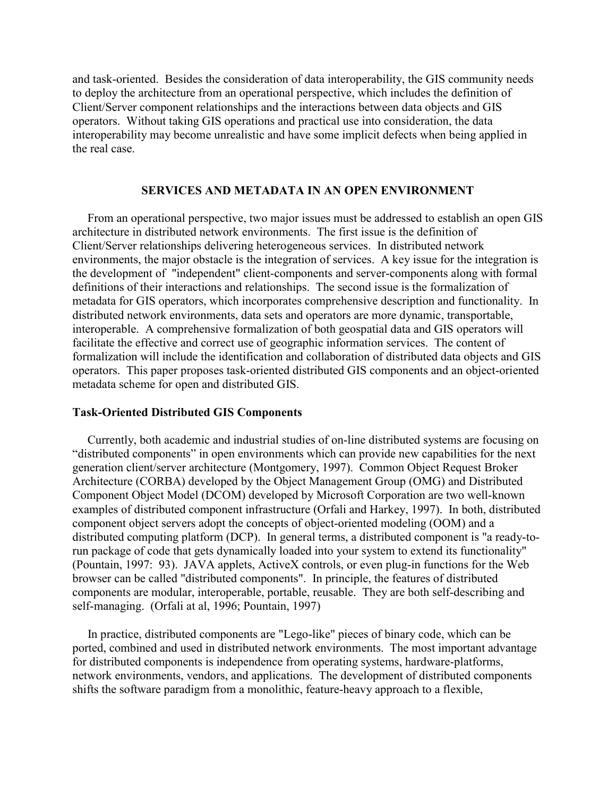and task-oriented. Besides the consideration of data interoperability, the GIS community needs to deploy the architecture from an operational perspective, which includes the definition of Client/Server component relationships and the interactions between data objects and GIS operators. Without taking GIS operations and practical use into consideration, the data interoperability may become unrealistic and have some implicit defects when being applied in the real case.

## **SERVICES AND METADATA IN AN OPEN ENVIRONMENT**

 From an operational perspective, two major issues must be addressed to establish an open GIS architecture in distributed network environments. The first issue is the definition of Client/Server relationships delivering heterogeneous services. In distributed network environments, the major obstacle is the integration of services. A key issue for the integration is the development of "independent" client-components and server-components along with formal definitions of their interactions and relationships. The second issue is the formalization of metadata for GIS operators, which incorporates comprehensive description and functionality. In distributed network environments, data sets and operators are more dynamic, transportable, interoperable. A comprehensive formalization of both geospatial data and GIS operators will facilitate the effective and correct use of geographic information services. The content of formalization will include the identification and collaboration of distributed data objects and GIS operators. This paper proposes task-oriented distributed GIS components and an object-oriented metadata scheme for open and distributed GIS.

### **Task-Oriented Distributed GIS Components**

 Currently, both academic and industrial studies of on-line distributed systems are focusing on "distributed components" in open environments which can provide new capabilities for the next generation client/server architecture (Montgomery, 1997). Common Object Request Broker Architecture (CORBA) developed by the Object Management Group (OMG) and Distributed Component Object Model (DCOM) developed by Microsoft Corporation are two well-known examples of distributed component infrastructure (Orfali and Harkey, 1997). In both, distributed component object servers adopt the concepts of object-oriented modeling (OOM) and a distributed computing platform (DCP). In general terms, a distributed component is "a ready-torun package of code that gets dynamically loaded into your system to extend its functionality" (Pountain, 1997: 93). JAVA applets, ActiveX controls, or even plug-in functions for the Web browser can be called "distributed components". In principle, the features of distributed components are modular, interoperable, portable, reusable. They are both self-describing and self-managing. (Orfali at al, 1996; Pountain, 1997)

 In practice, distributed components are "Lego-like" pieces of binary code, which can be ported, combined and used in distributed network environments. The most important advantage for distributed components is independence from operating systems, hardware-platforms, network environments, vendors, and applications. The development of distributed components shifts the software paradigm from a monolithic, feature-heavy approach to a flexible,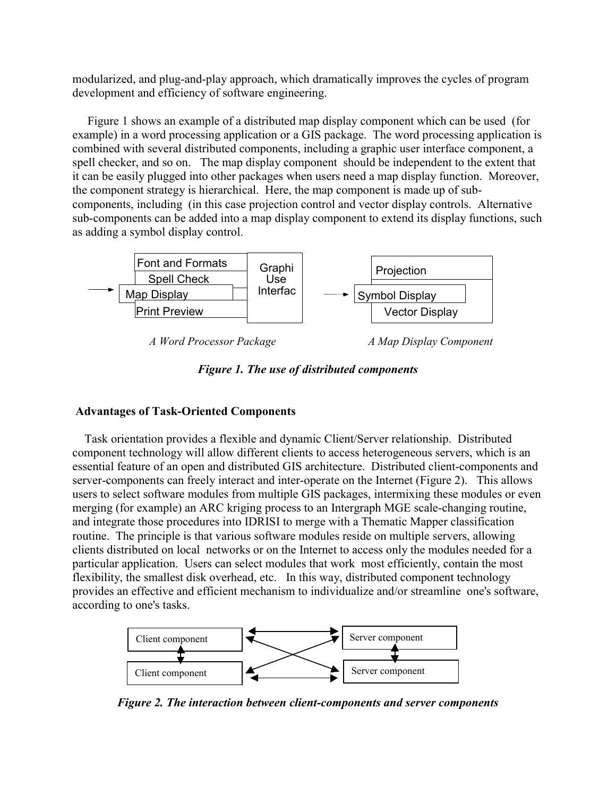modularized, and plug-and-play approach, which dramatically improves the cycles of program development and efficiency of software engineering.

 Figure 1 shows an example of a distributed map display component which can be used (for example) in a word processing application or a GIS package. The word processing application is combined with several distributed components, including a graphic user interface component, a spell checker, and so on. The map display component should be independent to the extent that it can be easily plugged into other packages when users need a map display function. Moreover, the component strategy is hierarchical. Here, the map component is made up of subcomponents, including (in this case projection control and vector display controls. Alternative sub-components can be added into a map display component to extend its display functions, such as adding a symbol display control.



*A Word Processor Package A Map Display Component*



# **Advantages of Task-Oriented Components**

 Task orientation provides a flexible and dynamic Client/Server relationship. Distributed component technology will allow different clients to access heterogeneous servers, which is an essential feature of an open and distributed GIS architecture. Distributed client-components and server-components can freely interact and inter-operate on the Internet (Figure 2). This allows users to select software modules from multiple GIS packages, intermixing these modules or even merging (for example) an ARC kriging process to an Intergraph MGE scale-changing routine, and integrate those procedures into IDRISI to merge with a Thematic Mapper classification routine. The principle is that various software modules reside on multiple servers, allowing clients distributed on local networks or on the Internet to access only the modules needed for a particular application. Users can select modules that work most efficiently, contain the most flexibility, the smallest disk overhead, etc. In this way, distributed component technology provides an effective and efficient mechanism to individualize and/or streamline one's software, according to one's tasks.



*Figure 2. The interaction between client-components and server components*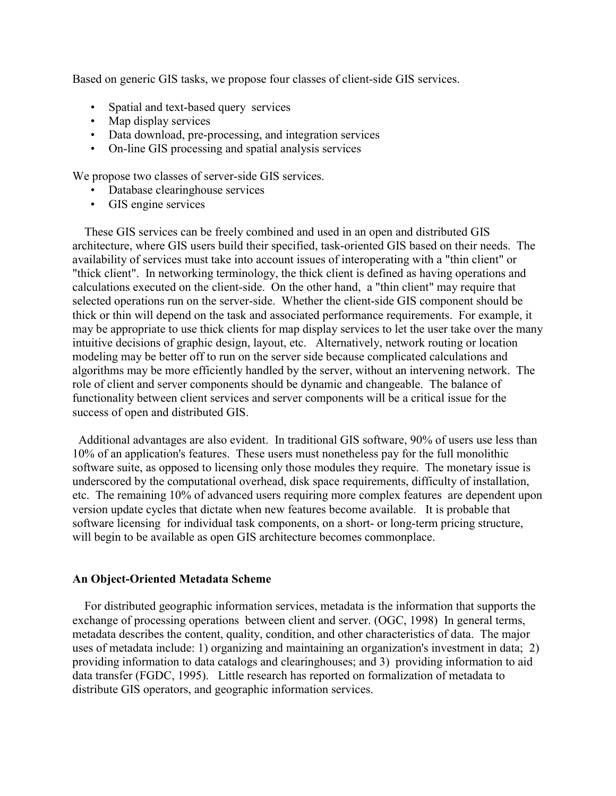Based on generic GIS tasks, we propose four classes of client-side GIS services.

- Spatial and text-based query services
- Map display services
- Data download, pre-processing, and integration services
- On-line GIS processing and spatial analysis services

We propose two classes of server-side GIS services.

- Database clearinghouse services
- GIS engine services

 These GIS services can be freely combined and used in an open and distributed GIS architecture, where GIS users build their specified, task-oriented GIS based on their needs. The availability of services must take into account issues of interoperating with a "thin client" or "thick client". In networking terminology, the thick client is defined as having operations and calculations executed on the client-side. On the other hand, a "thin client" may require that selected operations run on the server-side. Whether the client-side GIS component should be thick or thin will depend on the task and associated performance requirements. For example, it may be appropriate to use thick clients for map display services to let the user take over the many intuitive decisions of graphic design, layout, etc. Alternatively, network routing or location modeling may be better off to run on the server side because complicated calculations and algorithms may be more efficiently handled by the server, without an intervening network. The role of client and server components should be dynamic and changeable. The balance of functionality between client services and server components will be a critical issue for the success of open and distributed GIS.

 Additional advantages are also evident. In traditional GIS software, 90% of users use less than 10% of an application's features. These users must nonetheless pay for the full monolithic software suite, as opposed to licensing only those modules they require. The monetary issue is underscored by the computational overhead, disk space requirements, difficulty of installation, etc. The remaining 10% of advanced users requiring more complex features are dependent upon version update cycles that dictate when new features become available. It is probable that software licensing for individual task components, on a short- or long-term pricing structure, will begin to be available as open GIS architecture becomes commonplace.

# **An Object-Oriented Metadata Scheme**

 For distributed geographic information services, metadata is the information that supports the exchange of processing operations between client and server. (OGC, 1998) In general terms, metadata describes the content, quality, condition, and other characteristics of data. The major uses of metadata include: 1) organizing and maintaining an organization's investment in data; 2) providing information to data catalogs and clearinghouses; and 3) providing information to aid data transfer (FGDC, 1995). Little research has reported on formalization of metadata to distribute GIS operators, and geographic information services.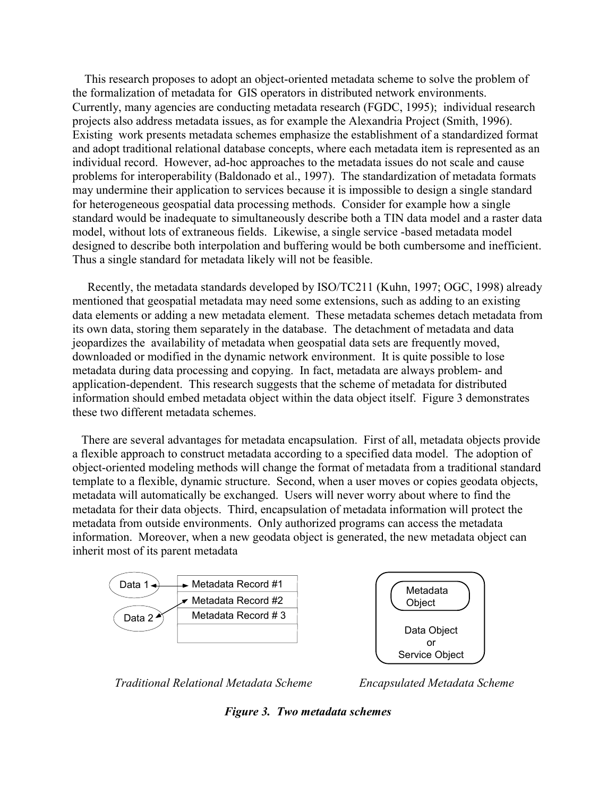This research proposes to adopt an object-oriented metadata scheme to solve the problem of the formalization of metadata for GIS operators in distributed network environments. Currently, many agencies are conducting metadata research (FGDC, 1995); individual research projects also address metadata issues, as for example the Alexandria Project (Smith, 1996). Existing work presents metadata schemes emphasize the establishment of a standardized format and adopt traditional relational database concepts, where each metadata item is represented as an individual record. However, ad-hoc approaches to the metadata issues do not scale and cause problems for interoperability (Baldonado et al., 1997). The standardization of metadata formats may undermine their application to services because it is impossible to design a single standard for heterogeneous geospatial data processing methods. Consider for example how a single standard would be inadequate to simultaneously describe both a TIN data model and a raster data model, without lots of extraneous fields. Likewise, a single service -based metadata model designed to describe both interpolation and buffering would be both cumbersome and inefficient. Thus a single standard for metadata likely will not be feasible.

 Recently, the metadata standards developed by ISO/TC211 (Kuhn, 1997; OGC, 1998) already mentioned that geospatial metadata may need some extensions, such as adding to an existing data elements or adding a new metadata element. These metadata schemes detach metadata from its own data, storing them separately in the database. The detachment of metadata and data jeopardizes the availability of metadata when geospatial data sets are frequently moved, downloaded or modified in the dynamic network environment. It is quite possible to lose metadata during data processing and copying. In fact, metadata are always problem- and application-dependent. This research suggests that the scheme of metadata for distributed information should embed metadata object within the data object itself. Figure 3 demonstrates these two different metadata schemes.

 There are several advantages for metadata encapsulation. First of all, metadata objects provide a flexible approach to construct metadata according to a specified data model. The adoption of object-oriented modeling methods will change the format of metadata from a traditional standard template to a flexible, dynamic structure. Second, when a user moves or copies geodata objects, metadata will automatically be exchanged. Users will never worry about where to find the metadata for their data objects. Third, encapsulation of metadata information will protect the metadata from outside environments. Only authorized programs can access the metadata information. Moreover, when a new geodata object is generated, the new metadata object can inherit most of its parent metadata





*Traditional Relational Metadata Scheme Encapsulated Metadata Scheme*

*Figure 3. Two metadata schemes*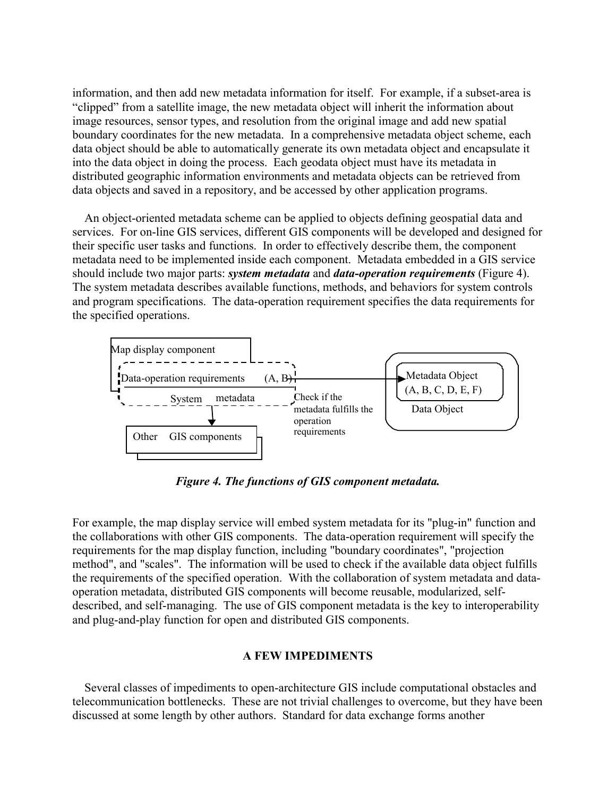information, and then add new metadata information for itself. For example, if a subset-area is "clipped" from a satellite image, the new metadata object will inherit the information about image resources, sensor types, and resolution from the original image and add new spatial boundary coordinates for the new metadata. In a comprehensive metadata object scheme, each data object should be able to automatically generate its own metadata object and encapsulate it into the data object in doing the process. Each geodata object must have its metadata in distributed geographic information environments and metadata objects can be retrieved from data objects and saved in a repository, and be accessed by other application programs.

 An object-oriented metadata scheme can be applied to objects defining geospatial data and services. For on-line GIS services, different GIS components will be developed and designed for their specific user tasks and functions. In order to effectively describe them, the component metadata need to be implemented inside each component. Metadata embedded in a GIS service should include two major parts: *system metadata* and *data-operation requirements* (Figure 4). The system metadata describes available functions, methods, and behaviors for system controls and program specifications. The data-operation requirement specifies the data requirements for the specified operations.



*Figure 4. The functions of GIS component metadata.*

For example, the map display service will embed system metadata for its "plug-in" function and the collaborations with other GIS components. The data-operation requirement will specify the requirements for the map display function, including "boundary coordinates", "projection method", and "scales". The information will be used to check if the available data object fulfills the requirements of the specified operation. With the collaboration of system metadata and dataoperation metadata, distributed GIS components will become reusable, modularized, selfdescribed, and self-managing. The use of GIS component metadata is the key to interoperability and plug-and-play function for open and distributed GIS components.

### **A FEW IMPEDIMENTS**

 Several classes of impediments to open-architecture GIS include computational obstacles and telecommunication bottlenecks. These are not trivial challenges to overcome, but they have been discussed at some length by other authors. Standard for data exchange forms another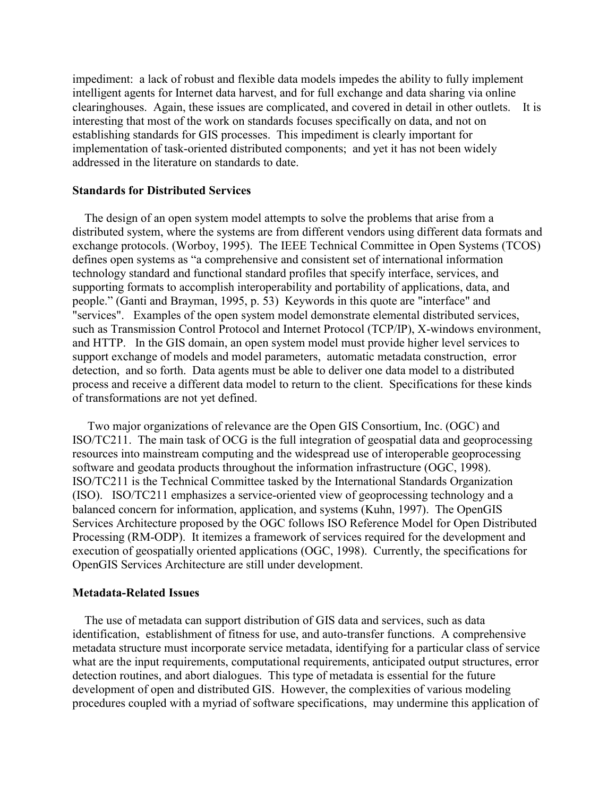impediment: a lack of robust and flexible data models impedes the ability to fully implement intelligent agents for Internet data harvest, and for full exchange and data sharing via online clearinghouses. Again, these issues are complicated, and covered in detail in other outlets. It is interesting that most of the work on standards focuses specifically on data, and not on establishing standards for GIS processes. This impediment is clearly important for implementation of task-oriented distributed components; and yet it has not been widely addressed in the literature on standards to date.

## **Standards for Distributed Services**

 The design of an open system model attempts to solve the problems that arise from a distributed system, where the systems are from different vendors using different data formats and exchange protocols. (Worboy, 1995). The IEEE Technical Committee in Open Systems (TCOS) defines open systems as "a comprehensive and consistent set of international information technology standard and functional standard profiles that specify interface, services, and supporting formats to accomplish interoperability and portability of applications, data, and people." (Ganti and Brayman, 1995, p. 53) Keywords in this quote are "interface" and "services". Examples of the open system model demonstrate elemental distributed services, such as Transmission Control Protocol and Internet Protocol (TCP/IP), X-windows environment, and HTTP. In the GIS domain, an open system model must provide higher level services to support exchange of models and model parameters, automatic metadata construction, error detection, and so forth. Data agents must be able to deliver one data model to a distributed process and receive a different data model to return to the client. Specifications for these kinds of transformations are not yet defined.

 Two major organizations of relevance are the Open GIS Consortium, Inc. (OGC) and ISO/TC211. The main task of OCG is the full integration of geospatial data and geoprocessing resources into mainstream computing and the widespread use of interoperable geoprocessing software and geodata products throughout the information infrastructure (OGC, 1998). ISO/TC211 is the Technical Committee tasked by the International Standards Organization (ISO). ISO/TC211 emphasizes a service-oriented view of geoprocessing technology and a balanced concern for information, application, and systems (Kuhn, 1997). The OpenGIS Services Architecture proposed by the OGC follows ISO Reference Model for Open Distributed Processing (RM-ODP). It itemizes a framework of services required for the development and execution of geospatially oriented applications (OGC, 1998). Currently, the specifications for OpenGIS Services Architecture are still under development.

### **Metadata-Related Issues**

 The use of metadata can support distribution of GIS data and services, such as data identification, establishment of fitness for use, and auto-transfer functions. A comprehensive metadata structure must incorporate service metadata, identifying for a particular class of service what are the input requirements, computational requirements, anticipated output structures, error detection routines, and abort dialogues. This type of metadata is essential for the future development of open and distributed GIS. However, the complexities of various modeling procedures coupled with a myriad of software specifications, may undermine this application of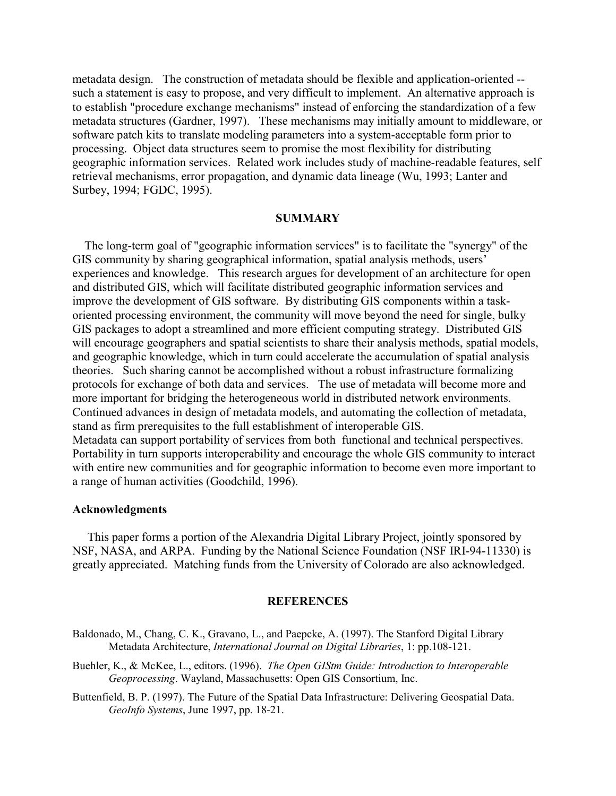metadata design. The construction of metadata should be flexible and application-oriented - such a statement is easy to propose, and very difficult to implement. An alternative approach is to establish "procedure exchange mechanisms" instead of enforcing the standardization of a few metadata structures (Gardner, 1997). These mechanisms may initially amount to middleware, or software patch kits to translate modeling parameters into a system-acceptable form prior to processing. Object data structures seem to promise the most flexibility for distributing geographic information services. Related work includes study of machine-readable features, self retrieval mechanisms, error propagation, and dynamic data lineage (Wu, 1993; Lanter and Surbey, 1994; FGDC, 1995).

### **SUMMARY**

 The long-term goal of "geographic information services" is to facilitate the "synergy" of the GIS community by sharing geographical information, spatial analysis methods, users' experiences and knowledge. This research argues for development of an architecture for open and distributed GIS, which will facilitate distributed geographic information services and improve the development of GIS software. By distributing GIS components within a taskoriented processing environment, the community will move beyond the need for single, bulky GIS packages to adopt a streamlined and more efficient computing strategy. Distributed GIS will encourage geographers and spatial scientists to share their analysis methods, spatial models, and geographic knowledge, which in turn could accelerate the accumulation of spatial analysis theories. Such sharing cannot be accomplished without a robust infrastructure formalizing protocols for exchange of both data and services. The use of metadata will become more and more important for bridging the heterogeneous world in distributed network environments. Continued advances in design of metadata models, and automating the collection of metadata, stand as firm prerequisites to the full establishment of interoperable GIS. Metadata can support portability of services from both functional and technical perspectives.

Portability in turn supports interoperability and encourage the whole GIS community to interact with entire new communities and for geographic information to become even more important to a range of human activities (Goodchild, 1996).

### **Acknowledgments**

 This paper forms a portion of the Alexandria Digital Library Project, jointly sponsored by NSF, NASA, and ARPA. Funding by the National Science Foundation (NSF IRI-94-11330) is greatly appreciated. Matching funds from the University of Colorado are also acknowledged.

#### **REFERENCES**

- Baldonado, M., Chang, C. K., Gravano, L., and Paepcke, A. (1997). The Stanford Digital Library Metadata Architecture, *International Journal on Digital Libraries*, 1: pp.108-121.
- Buehler, K., & McKee, L., editors. (1996). *The Open GIStm Guide: Introduction to Interoperable Geoprocessing*. Wayland, Massachusetts: Open GIS Consortium, Inc.
- Buttenfield, B. P. (1997). The Future of the Spatial Data Infrastructure: Delivering Geospatial Data. *GeoInfo Systems*, June 1997, pp. 18-21.